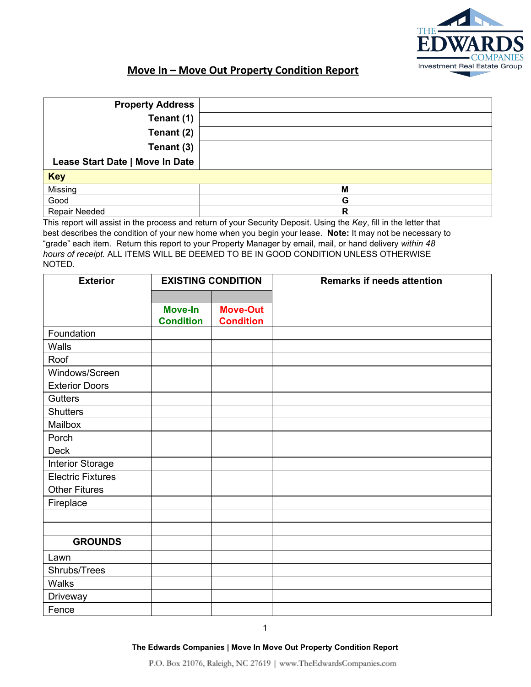

## **Move In – Move Out Property Condition Report**

| <b>Property Address</b>         |   |
|---------------------------------|---|
| Tenant (1)                      |   |
| Tenant (2)                      |   |
| Tenant (3)                      |   |
| Lease Start Date   Move In Date |   |
| <b>Key</b>                      |   |
| Missing                         | M |
| Good                            | G |
| <b>Repair Needed</b>            | R |

This report will assist in the process and return of your Security Deposit. Using the *Key*, fill in the letter that best describes the condition of your new home when you begin your lease. **Note:**It may not be necessary to "grade" each item. Return this report to your Property Manager by email, mail, or hand delivery *within 48 hours of receipt.* ALL ITEMS WILL BE DEEMED TO BE IN GOOD CONDITION UNLESS OTHERWISE NOTED.

| <b>Exterior</b>          | <b>EXISTING CONDITION</b> |                  | <b>Remarks if needs attention</b> |  |
|--------------------------|---------------------------|------------------|-----------------------------------|--|
|                          |                           |                  |                                   |  |
|                          | <b>Move-In</b>            | <b>Move-Out</b>  |                                   |  |
|                          | <b>Condition</b>          | <b>Condition</b> |                                   |  |
| Foundation               |                           |                  |                                   |  |
| Walls                    |                           |                  |                                   |  |
| Roof                     |                           |                  |                                   |  |
| Windows/Screen           |                           |                  |                                   |  |
| <b>Exterior Doors</b>    |                           |                  |                                   |  |
| <b>Gutters</b>           |                           |                  |                                   |  |
| <b>Shutters</b>          |                           |                  |                                   |  |
| Mailbox                  |                           |                  |                                   |  |
| Porch                    |                           |                  |                                   |  |
| <b>Deck</b>              |                           |                  |                                   |  |
| Interior Storage         |                           |                  |                                   |  |
| <b>Electric Fixtures</b> |                           |                  |                                   |  |
| <b>Other Fitures</b>     |                           |                  |                                   |  |
| Fireplace                |                           |                  |                                   |  |
|                          |                           |                  |                                   |  |
|                          |                           |                  |                                   |  |
| <b>GROUNDS</b>           |                           |                  |                                   |  |
| Lawn                     |                           |                  |                                   |  |
| Shrubs/Trees             |                           |                  |                                   |  |
| <b>Walks</b>             |                           |                  |                                   |  |
| Driveway                 |                           |                  |                                   |  |
| Fence                    |                           |                  |                                   |  |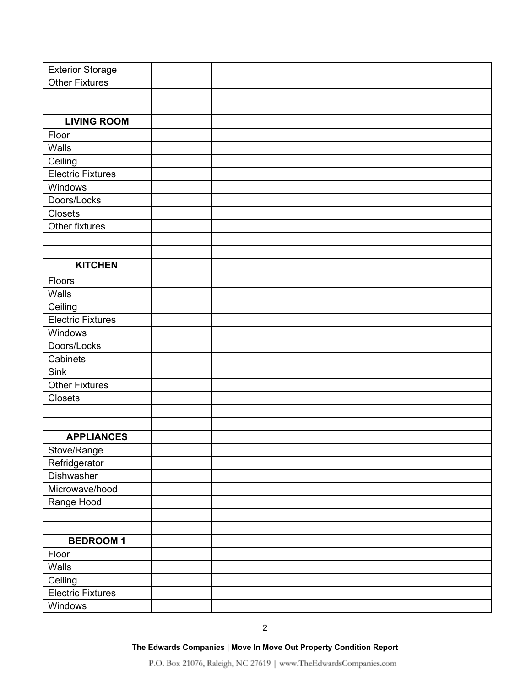| <b>Exterior Storage</b><br><b>Other Fixtures</b><br><b>LIVING ROOM</b><br>Floor |
|---------------------------------------------------------------------------------|
|                                                                                 |
|                                                                                 |
|                                                                                 |
|                                                                                 |
|                                                                                 |
| Walls                                                                           |
| Ceiling                                                                         |
| <b>Electric Fixtures</b>                                                        |
| Windows                                                                         |
| Doors/Locks                                                                     |
| <b>Closets</b>                                                                  |
| Other fixtures                                                                  |
|                                                                                 |
|                                                                                 |
| <b>KITCHEN</b>                                                                  |
| Floors                                                                          |
| Walls                                                                           |
| Ceiling                                                                         |
| <b>Electric Fixtures</b>                                                        |
| Windows                                                                         |
| Doors/Locks                                                                     |
| Cabinets                                                                        |
| Sink                                                                            |
| <b>Other Fixtures</b>                                                           |
| Closets                                                                         |
|                                                                                 |
|                                                                                 |
| <b>APPLIANCES</b>                                                               |
| Stove/Range                                                                     |
| Refridgerator                                                                   |
| Dishwasher                                                                      |
| Microwave/hood                                                                  |
| Range Hood                                                                      |
|                                                                                 |
|                                                                                 |
| <b>BEDROOM1</b>                                                                 |
| Floor                                                                           |
| Walls                                                                           |
| Ceiling                                                                         |
| <b>Electric Fixtures</b>                                                        |
| Windows                                                                         |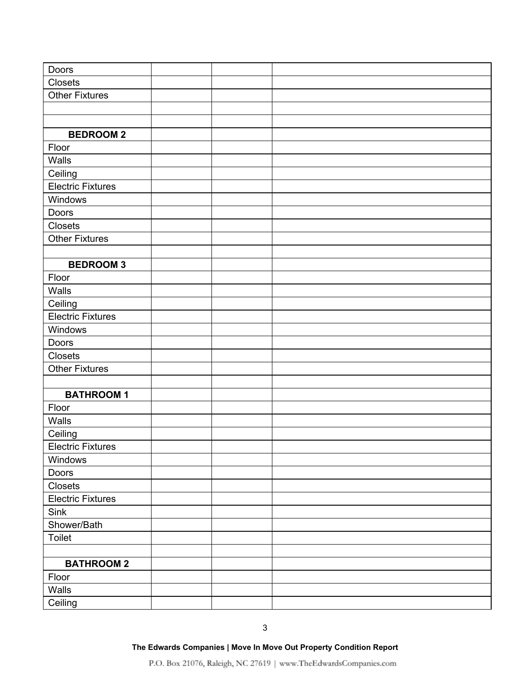| Doors                    |  |  |
|--------------------------|--|--|
| Closets                  |  |  |
| <b>Other Fixtures</b>    |  |  |
|                          |  |  |
|                          |  |  |
| <b>BEDROOM2</b>          |  |  |
| Floor                    |  |  |
| Walls                    |  |  |
| Ceiling                  |  |  |
| <b>Electric Fixtures</b> |  |  |
| Windows                  |  |  |
| Doors                    |  |  |
| Closets                  |  |  |
| <b>Other Fixtures</b>    |  |  |
|                          |  |  |
| <b>BEDROOM 3</b>         |  |  |
| Floor                    |  |  |
| Walls                    |  |  |
| Ceiling                  |  |  |
| <b>Electric Fixtures</b> |  |  |
| Windows                  |  |  |
| Doors                    |  |  |
| Closets                  |  |  |
| <b>Other Fixtures</b>    |  |  |
|                          |  |  |
| <b>BATHROOM1</b>         |  |  |
| Floor                    |  |  |
| Walls                    |  |  |
| Ceiling                  |  |  |
| <b>Electric Fixtures</b> |  |  |
| Windows                  |  |  |
| Doors                    |  |  |
| Closets                  |  |  |
| <b>Electric Fixtures</b> |  |  |
| Sink                     |  |  |
| Shower/Bath              |  |  |
| <b>Toilet</b>            |  |  |
|                          |  |  |
| <b>BATHROOM 2</b>        |  |  |
| Floor                    |  |  |
| Walls                    |  |  |
| Ceiling                  |  |  |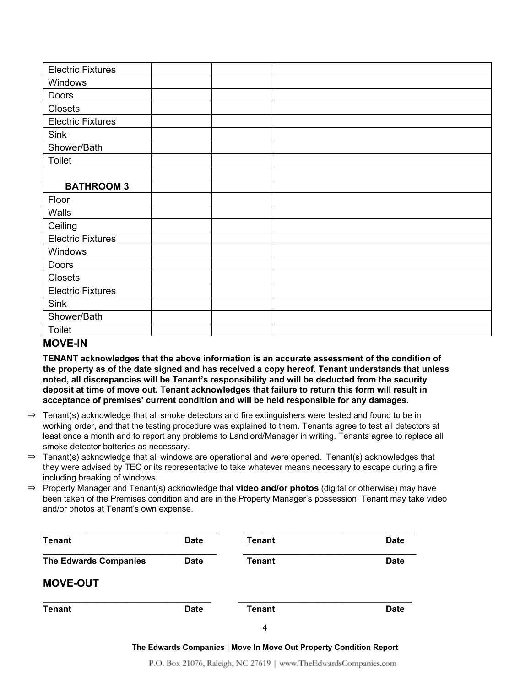| <b>Electric Fixtures</b> |  |
|--------------------------|--|
| Windows                  |  |
| <b>Doors</b>             |  |
| <b>Closets</b>           |  |
| <b>Electric Fixtures</b> |  |
| Sink                     |  |
| Shower/Bath              |  |
| <b>Toilet</b>            |  |
|                          |  |
| <b>BATHROOM 3</b>        |  |
| Floor                    |  |
| Walls                    |  |
| Ceiling                  |  |
| <b>Electric Fixtures</b> |  |
| Windows                  |  |
| Doors                    |  |
| Closets                  |  |
| <b>Electric Fixtures</b> |  |
| Sink                     |  |
| Shower/Bath              |  |
| <b>Toilet</b>            |  |

## **MOVE-IN**

**TENANT acknowledges that the above information is an accurate assessment of the condition of the property as of the date signed and has received a copy hereof. Tenant understands that unless noted, all discrepancies will be Tenant's responsibility and will be deducted from the security deposit at time of move out. Tenant acknowledges that failure to return this form will result in acceptance of premises' current condition and will be held responsible for any damages.**

- ⇒ Tenant(s) acknowledge that all smoke detectors and fire extinguishers were tested and found to be in working order, and that the testing procedure was explained to them. Tenants agree to test all detectors at least once a month and to report any problems to Landlord/Manager in writing. Tenants agree to replace all smoke detector batteries as necessary.
- ⇒ Tenant(s) acknowledge that all windows are operational and were opened. Tenant(s) acknowledges that they were advised by TEC or its representative to take whatever means necessary to escape during a fire including breaking of windows.
- ⇒ Property Manager and Tenant(s) acknowledge that **video and/or photos**(digital or otherwise) may have been taken of the Premises condition and are in the Property Manager's possession. Tenant may take video and/or photos at Tenant's own expense.

| <b>Tenant</b>                | <b>Date</b> | <b>Tenant</b> | <b>Date</b> |
|------------------------------|-------------|---------------|-------------|
| <b>The Edwards Companies</b> | <b>Date</b> | <b>Tenant</b> | <b>Date</b> |
| <b>MOVE-OUT</b>              |             |               |             |
| <b>Tenant</b>                | <b>Date</b> | <b>Tenant</b> | <b>Date</b> |
|                              |             | 4             |             |